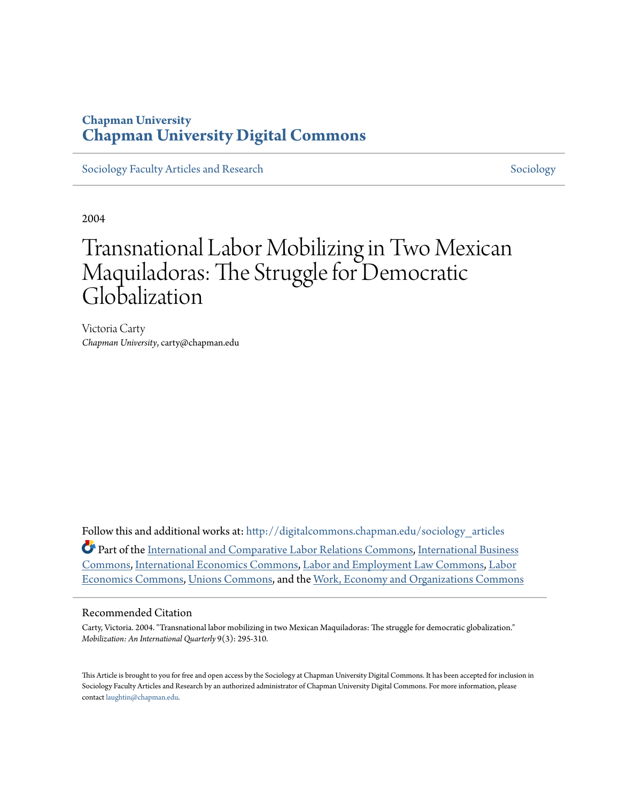### **Chapman University [Chapman University Digital Commons](http://digitalcommons.chapman.edu?utm_source=digitalcommons.chapman.edu%2Fsociology_articles%2F6&utm_medium=PDF&utm_campaign=PDFCoverPages)**

[Sociology Faculty Articles and Research](http://digitalcommons.chapman.edu/sociology_articles?utm_source=digitalcommons.chapman.edu%2Fsociology_articles%2F6&utm_medium=PDF&utm_campaign=PDFCoverPages) [Sociology](http://digitalcommons.chapman.edu/sociology?utm_source=digitalcommons.chapman.edu%2Fsociology_articles%2F6&utm_medium=PDF&utm_campaign=PDFCoverPages) Sociology

2004

# Transnational Labor Mobilizing in Two Mexican Maquiladoras: The Struggle for Democratic Globalization

Victoria Carty *Chapman University*, carty@chapman.edu

Follow this and additional works at: [http://digitalcommons.chapman.edu/sociology\\_articles](http://digitalcommons.chapman.edu/sociology_articles?utm_source=digitalcommons.chapman.edu%2Fsociology_articles%2F6&utm_medium=PDF&utm_campaign=PDFCoverPages) Part of the [International and Comparative Labor Relations Commons](http://network.bepress.com/hgg/discipline/1259?utm_source=digitalcommons.chapman.edu%2Fsociology_articles%2F6&utm_medium=PDF&utm_campaign=PDFCoverPages), [International Business](http://network.bepress.com/hgg/discipline/634?utm_source=digitalcommons.chapman.edu%2Fsociology_articles%2F6&utm_medium=PDF&utm_campaign=PDFCoverPages) [Commons,](http://network.bepress.com/hgg/discipline/634?utm_source=digitalcommons.chapman.edu%2Fsociology_articles%2F6&utm_medium=PDF&utm_campaign=PDFCoverPages) [International Economics Commons,](http://network.bepress.com/hgg/discipline/348?utm_source=digitalcommons.chapman.edu%2Fsociology_articles%2F6&utm_medium=PDF&utm_campaign=PDFCoverPages) [Labor and Employment Law Commons](http://network.bepress.com/hgg/discipline/909?utm_source=digitalcommons.chapman.edu%2Fsociology_articles%2F6&utm_medium=PDF&utm_campaign=PDFCoverPages), [Labor](http://network.bepress.com/hgg/discipline/349?utm_source=digitalcommons.chapman.edu%2Fsociology_articles%2F6&utm_medium=PDF&utm_campaign=PDFCoverPages) [Economics Commons](http://network.bepress.com/hgg/discipline/349?utm_source=digitalcommons.chapman.edu%2Fsociology_articles%2F6&utm_medium=PDF&utm_campaign=PDFCoverPages), [Unions Commons](http://network.bepress.com/hgg/discipline/1260?utm_source=digitalcommons.chapman.edu%2Fsociology_articles%2F6&utm_medium=PDF&utm_campaign=PDFCoverPages), and the [Work, Economy and Organizations Commons](http://network.bepress.com/hgg/discipline/433?utm_source=digitalcommons.chapman.edu%2Fsociology_articles%2F6&utm_medium=PDF&utm_campaign=PDFCoverPages)

#### Recommended Citation

Carty, Victoria. 2004. "Transnational labor mobilizing in two Mexican Maquiladoras: The struggle for democratic globalization." *Mobilization: An International Quarterly* 9(3): 295-310.

This Article is brought to you for free and open access by the Sociology at Chapman University Digital Commons. It has been accepted for inclusion in Sociology Faculty Articles and Research by an authorized administrator of Chapman University Digital Commons. For more information, please contact [laughtin@chapman.edu](mailto:laughtin@chapman.edu).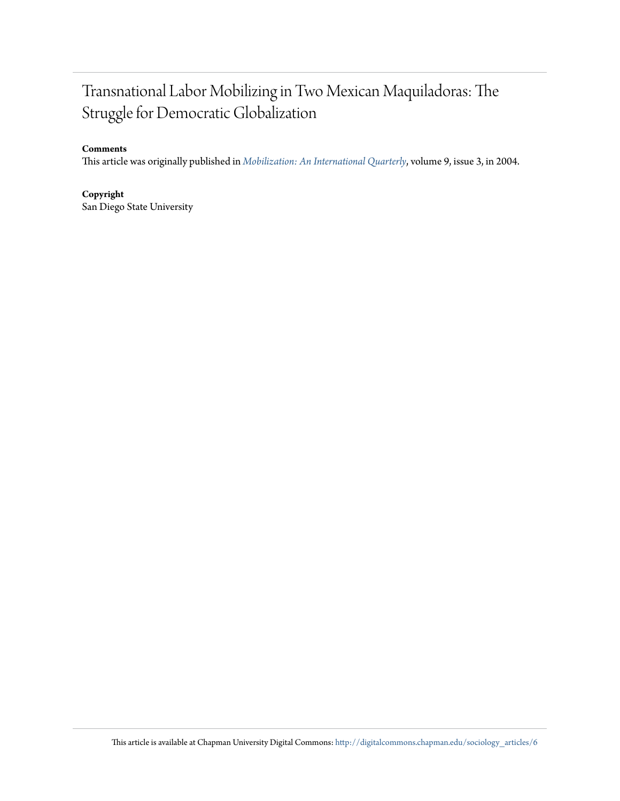## Transnational Labor Mobilizing in Two Mexican Maquiladoras: The Struggle for Democratic Globalization

#### **Comments**

This article was originally published in *[Mobilization: An International Quarterly](http://www.mobilization.sdsu.edu/articleabstracts/093carty.html)*, volume 9, issue 3, in 2004.

**Copyright** San Diego State University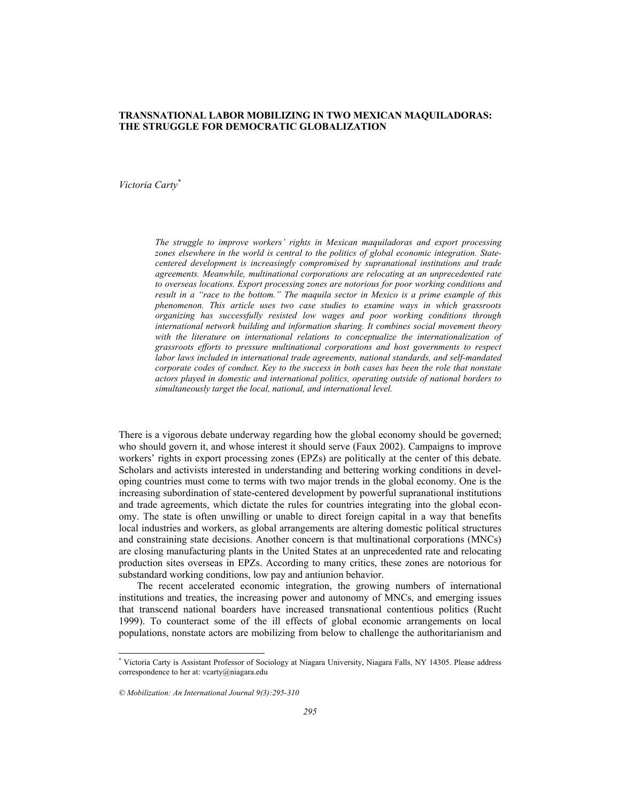#### **TRANSNATIONAL LABOR MOBILIZING IN TWO MEXICAN MAQUILADORAS: THE STRUGGLE FOR DEMOCRATIC GLOBALIZATION**

*Victoria Carty\**

*The struggle to improve workers' rights in Mexican maquiladoras and export processing zones elsewhere in the world is central to the politics of global economic integration. Statecentered development is increasingly compromised by supranational institutions and trade agreements. Meanwhile, multinational corporations are relocating at an unprecedented rate to overseas locations. Export processing zones are notorious for poor working conditions and result in a "race to the bottom." The maquila sector in Mexico is a prime example of this phenomenon. This article uses two case studies to examine ways in which grassroots organizing has successfully resisted low wages and poor working conditions through international network building and information sharing. It combines social movement theory*  with the literature on international relations to conceptualize the internationalization of *grassroots efforts to pressure multinational corporations and host governments to respect labor laws included in international trade agreements, national standards, and self-mandated corporate codes of conduct. Key to the success in both cases has been the role that nonstate actors played in domestic and international politics, operating outside of national borders to simultaneously target the local, national, and international level.* 

There is a vigorous debate underway regarding how the global economy should be governed; who should govern it, and whose interest it should serve (Faux 2002). Campaigns to improve workers' rights in export processing zones (EPZs) are politically at the center of this debate. Scholars and activists interested in understanding and bettering working conditions in developing countries must come to terms with two major trends in the global economy. One is the increasing subordination of state-centered development by powerful supranational institutions and trade agreements, which dictate the rules for countries integrating into the global economy. The state is often unwilling or unable to direct foreign capital in a way that benefits local industries and workers, as global arrangements are altering domestic political structures and constraining state decisions. Another concern is that multinational corporations (MNCs) are closing manufacturing plants in the United States at an unprecedented rate and relocating production sites overseas in EPZs. According to many critics, these zones are notorious for substandard working conditions, low pay and antiunion behavior.

The recent accelerated economic integration, the growing numbers of international institutions and treaties, the increasing power and autonomy of MNCs, and emerging issues that transcend national boarders have increased transnational contentious politics (Rucht 1999). To counteract some of the ill effects of global economic arrangements on local populations, nonstate actors are mobilizing from below to challenge the authoritarianism and

 \* Victoria Carty is Assistant Professor of Sociology at Niagara University, Niagara Falls, NY 14305. Please address correspondence to her at: vcarty@niagara.edu

*<sup>©</sup> Mobilization: An International Journal 9(3):295-310*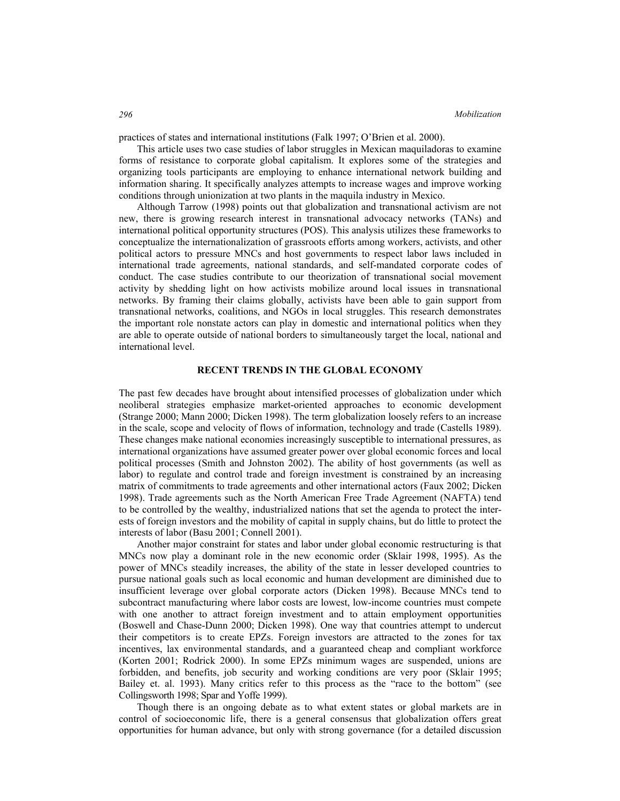practices of states and international institutions (Falk 1997; O'Brien et al. 2000).

This article uses two case studies of labor struggles in Mexican maquiladoras to examine forms of resistance to corporate global capitalism. It explores some of the strategies and organizing tools participants are employing to enhance international network building and information sharing. It specifically analyzes attempts to increase wages and improve working conditions through unionization at two plants in the maquila industry in Mexico.

Although Tarrow (1998) points out that globalization and transnational activism are not new, there is growing research interest in transnational advocacy networks (TANs) and international political opportunity structures (POS). This analysis utilizes these frameworks to conceptualize the internationalization of grassroots efforts among workers, activists, and other political actors to pressure MNCs and host governments to respect labor laws included in international trade agreements, national standards, and self-mandated corporate codes of conduct. The case studies contribute to our theorization of transnational social movement activity by shedding light on how activists mobilize around local issues in transnational networks. By framing their claims globally, activists have been able to gain support from transnational networks, coalitions, and NGOs in local struggles. This research demonstrates the important role nonstate actors can play in domestic and international politics when they are able to operate outside of national borders to simultaneously target the local, national and international level.

#### **RECENT TRENDS IN THE GLOBAL ECONOMY**

The past few decades have brought about intensified processes of globalization under which neoliberal strategies emphasize market-oriented approaches to economic development (Strange 2000; Mann 2000; Dicken 1998). The term globalization loosely refers to an increase in the scale, scope and velocity of flows of information, technology and trade (Castells 1989). These changes make national economies increasingly susceptible to international pressures, as international organizations have assumed greater power over global economic forces and local political processes (Smith and Johnston 2002). The ability of host governments (as well as labor) to regulate and control trade and foreign investment is constrained by an increasing matrix of commitments to trade agreements and other international actors (Faux 2002; Dicken 1998). Trade agreements such as the North American Free Trade Agreement (NAFTA) tend to be controlled by the wealthy, industrialized nations that set the agenda to protect the interests of foreign investors and the mobility of capital in supply chains, but do little to protect the interests of labor (Basu 2001; Connell 2001).

Another major constraint for states and labor under global economic restructuring is that MNCs now play a dominant role in the new economic order (Sklair 1998, 1995). As the power of MNCs steadily increases, the ability of the state in lesser developed countries to pursue national goals such as local economic and human development are diminished due to insufficient leverage over global corporate actors (Dicken 1998). Because MNCs tend to subcontract manufacturing where labor costs are lowest, low-income countries must compete with one another to attract foreign investment and to attain employment opportunities (Boswell and Chase-Dunn 2000; Dicken 1998). One way that countries attempt to undercut their competitors is to create EPZs. Foreign investors are attracted to the zones for tax incentives, lax environmental standards, and a guaranteed cheap and compliant workforce (Korten 2001; Rodrick 2000). In some EPZs minimum wages are suspended, unions are forbidden, and benefits, job security and working conditions are very poor (Sklair 1995; Bailey et. al. 1993). Many critics refer to this process as the "race to the bottom" (see Collingsworth 1998; Spar and Yoffe 1999).

Though there is an ongoing debate as to what extent states or global markets are in control of socioeconomic life, there is a general consensus that globalization offers great opportunities for human advance, but only with strong governance (for a detailed discussion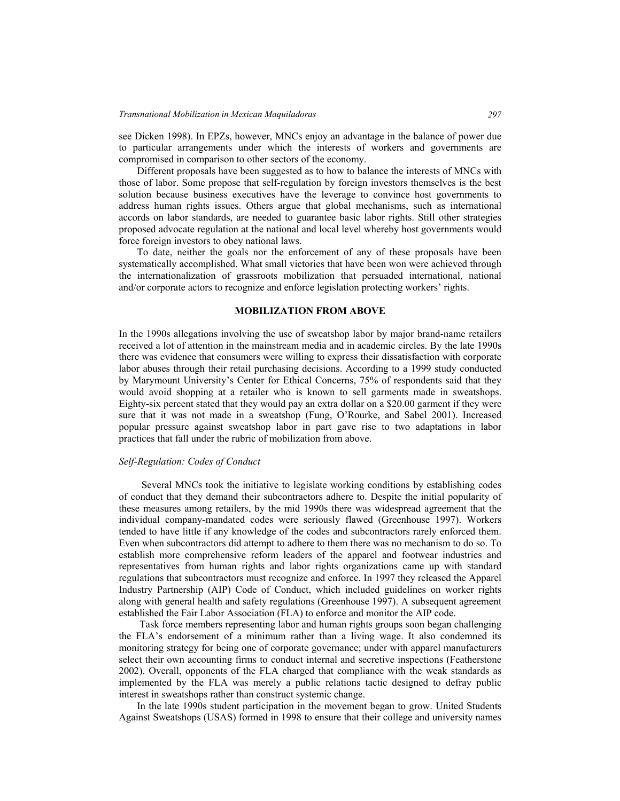see Dicken 1998). In EPZs, however, MNCs enjoy an advantage in the balance of power due to particular arrangements under which the interests of workers and governments are compromised in comparison to other sectors of the economy.

Different proposals have been suggested as to how to balance the interests of MNCs with those of labor. Some propose that self-regulation by foreign investors themselves is the best solution because business executives have the leverage to convince host governments to address human rights issues. Others argue that global mechanisms, such as international accords on labor standards, are needed to guarantee basic labor rights. Still other strategies proposed advocate regulation at the national and local level whereby host governments would force foreign investors to obey national laws.

To date, neither the goals nor the enforcement of any of these proposals have been systematically accomplished. What small victories that have been won were achieved through the internationalization of grassroots mobilization that persuaded international, national and/or corporate actors to recognize and enforce legislation protecting workers' rights.

#### **MOBILIZATION FROM ABOVE**

In the 1990s allegations involving the use of sweatshop labor by major brand-name retailers received a lot of attention in the mainstream media and in academic circles. By the late 1990s there was evidence that consumers were willing to express their dissatisfaction with corporate labor abuses through their retail purchasing decisions. According to a 1999 study conducted by Marymount University's Center for Ethical Concerns, 75% of respondents said that they would avoid shopping at a retailer who is known to sell garments made in sweatshops. Eighty-six percent stated that they would pay an extra dollar on a \$20.00 garment if they were sure that it was not made in a sweatshop (Fung, O'Rourke, and Sabel 2001). Increased popular pressure against sweatshop labor in part gave rise to two adaptations in labor practices that fall under the rubric of mobilization from above.

#### *Self-Regulation: Codes of Conduct*

Several MNCs took the initiative to legislate working conditions by establishing codes of conduct that they demand their subcontractors adhere to. Despite the initial popularity of these measures among retailers, by the mid 1990s there was widespread agreement that the individual company-mandated codes were seriously flawed (Greenhouse 1997). Workers tended to have little if any knowledge of the codes and subcontractors rarely enforced them. Even when subcontractors did attempt to adhere to them there was no mechanism to do so. To establish more comprehensive reform leaders of the apparel and footwear industries and representatives from human rights and labor rights organizations came up with standard regulations that subcontractors must recognize and enforce. In 1997 they released the Apparel Industry Partnership (AIP) Code of Conduct, which included guidelines on worker rights along with general health and safety regulations (Greenhouse 1997). A subsequent agreement established the Fair Labor Association (FLA) to enforce and monitor the AIP code.

 Task force members representing labor and human rights groups soon began challenging the FLA's endorsement of a minimum rather than a living wage. It also condemned its monitoring strategy for being one of corporate governance; under with apparel manufacturers select their own accounting firms to conduct internal and secretive inspections (Featherstone 2002). Overall, opponents of the FLA charged that compliance with the weak standards as implemented by the FLA was merely a public relations tactic designed to defray public interest in sweatshops rather than construct systemic change.

In the late 1990s student participation in the movement began to grow. United Students Against Sweatshops (USAS) formed in 1998 to ensure that their college and university names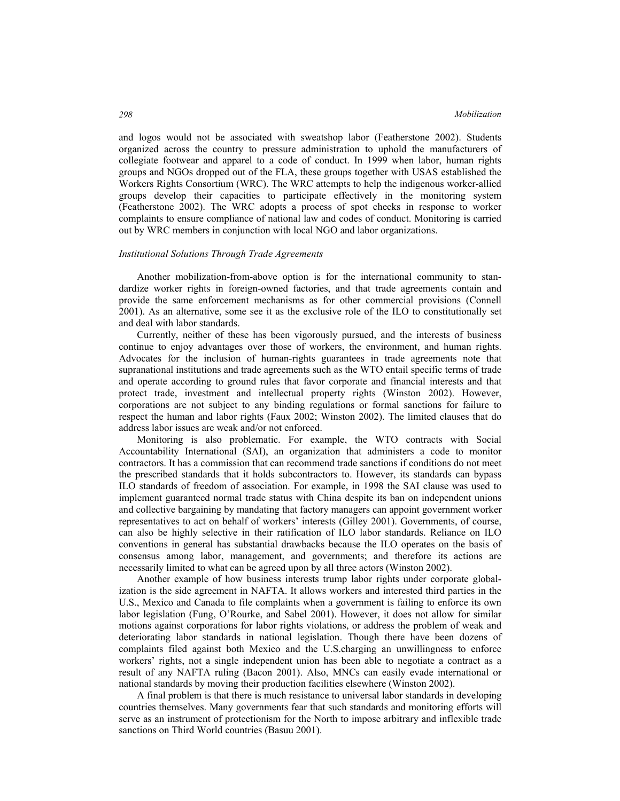and logos would not be associated with sweatshop labor (Featherstone 2002). Students organized across the country to pressure administration to uphold the manufacturers of collegiate footwear and apparel to a code of conduct. In 1999 when labor, human rights groups and NGOs dropped out of the FLA, these groups together with USAS established the Workers Rights Consortium (WRC). The WRC attempts to help the indigenous worker-allied groups develop their capacities to participate effectively in the monitoring system (Featherstone 2002). The WRC adopts a process of spot checks in response to worker complaints to ensure compliance of national law and codes of conduct. Monitoring is carried out by WRC members in conjunction with local NGO and labor organizations.

#### *Institutional Solutions Through Trade Agreements*

Another mobilization-from-above option is for the international community to standardize worker rights in foreign-owned factories, and that trade agreements contain and provide the same enforcement mechanisms as for other commercial provisions (Connell 2001). As an alternative, some see it as the exclusive role of the ILO to constitutionally set and deal with labor standards.

Currently, neither of these has been vigorously pursued, and the interests of business continue to enjoy advantages over those of workers, the environment, and human rights. Advocates for the inclusion of human-rights guarantees in trade agreements note that supranational institutions and trade agreements such as the WTO entail specific terms of trade and operate according to ground rules that favor corporate and financial interests and that protect trade, investment and intellectual property rights (Winston 2002). However, corporations are not subject to any binding regulations or formal sanctions for failure to respect the human and labor rights (Faux 2002; Winston 2002). The limited clauses that do address labor issues are weak and/or not enforced.

Monitoring is also problematic. For example, the WTO contracts with Social Accountability International (SAI), an organization that administers a code to monitor contractors. It has a commission that can recommend trade sanctions if conditions do not meet the prescribed standards that it holds subcontractors to. However, its standards can bypass ILO standards of freedom of association. For example, in 1998 the SAI clause was used to implement guaranteed normal trade status with China despite its ban on independent unions and collective bargaining by mandating that factory managers can appoint government worker representatives to act on behalf of workers' interests (Gilley 2001). Governments, of course, can also be highly selective in their ratification of ILO labor standards. Reliance on ILO conventions in general has substantial drawbacks because the ILO operates on the basis of consensus among labor, management, and governments; and therefore its actions are necessarily limited to what can be agreed upon by all three actors (Winston 2002).

Another example of how business interests trump labor rights under corporate globalization is the side agreement in NAFTA. It allows workers and interested third parties in the U.S., Mexico and Canada to file complaints when a government is failing to enforce its own labor legislation (Fung, O'Rourke, and Sabel 2001). However, it does not allow for similar motions against corporations for labor rights violations, or address the problem of weak and deteriorating labor standards in national legislation. Though there have been dozens of complaints filed against both Mexico and the U.S.charging an unwillingness to enforce workers' rights, not a single independent union has been able to negotiate a contract as a result of any NAFTA ruling (Bacon 2001). Also, MNCs can easily evade international or national standards by moving their production facilities elsewhere (Winston 2002).

A final problem is that there is much resistance to universal labor standards in developing countries themselves. Many governments fear that such standards and monitoring efforts will serve as an instrument of protectionism for the North to impose arbitrary and inflexible trade sanctions on Third World countries (Basuu 2001).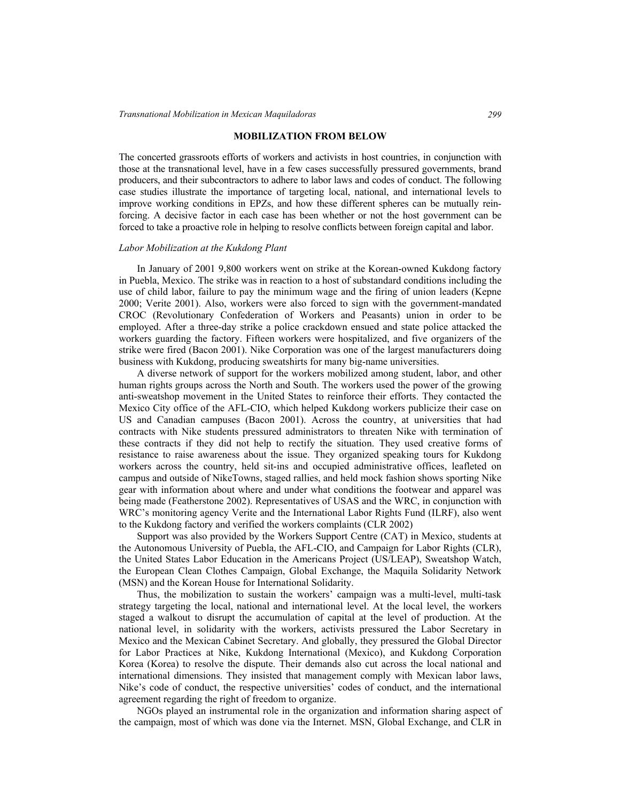#### **MOBILIZATION FROM BELOW**

The concerted grassroots efforts of workers and activists in host countries, in conjunction with those at the transnational level, have in a few cases successfully pressured governments, brand producers, and their subcontractors to adhere to labor laws and codes of conduct. The following case studies illustrate the importance of targeting local, national, and international levels to improve working conditions in EPZs, and how these different spheres can be mutually reinforcing. A decisive factor in each case has been whether or not the host government can be forced to take a proactive role in helping to resolve conflicts between foreign capital and labor.

#### *Labor Mobilization at the Kukdong Plant*

In January of 2001 9,800 workers went on strike at the Korean-owned Kukdong factory in Puebla, Mexico. The strike was in reaction to a host of substandard conditions including the use of child labor, failure to pay the minimum wage and the firing of union leaders (Kepne 2000; Verite 2001). Also, workers were also forced to sign with the government-mandated CROC (Revolutionary Confederation of Workers and Peasants) union in order to be employed. After a three-day strike a police crackdown ensued and state police attacked the workers guarding the factory. Fifteen workers were hospitalized, and five organizers of the strike were fired (Bacon 2001). Nike Corporation was one of the largest manufacturers doing business with Kukdong, producing sweatshirts for many big-name universities.

A diverse network of support for the workers mobilized among student, labor, and other human rights groups across the North and South. The workers used the power of the growing anti-sweatshop movement in the United States to reinforce their efforts. They contacted the Mexico City office of the AFL-CIO, which helped Kukdong workers publicize their case on US and Canadian campuses (Bacon 2001). Across the country, at universities that had contracts with Nike students pressured administrators to threaten Nike with termination of these contracts if they did not help to rectify the situation. They used creative forms of resistance to raise awareness about the issue. They organized speaking tours for Kukdong workers across the country, held sit-ins and occupied administrative offices, leafleted on campus and outside of NikeTowns, staged rallies, and held mock fashion shows sporting Nike gear with information about where and under what conditions the footwear and apparel was being made (Featherstone 2002). Representatives of USAS and the WRC, in conjunction with WRC's monitoring agency Verite and the International Labor Rights Fund (ILRF), also went to the Kukdong factory and verified the workers complaints (CLR 2002)

Support was also provided by the Workers Support Centre (CAT) in Mexico, students at the Autonomous University of Puebla, the AFL-CIO, and Campaign for Labor Rights (CLR), the United States Labor Education in the Americans Project (US/LEAP), Sweatshop Watch, the European Clean Clothes Campaign, Global Exchange, the Maquila Solidarity Network (MSN) and the Korean House for International Solidarity.

Thus, the mobilization to sustain the workers' campaign was a multi-level, multi-task strategy targeting the local, national and international level. At the local level, the workers staged a walkout to disrupt the accumulation of capital at the level of production. At the national level, in solidarity with the workers, activists pressured the Labor Secretary in Mexico and the Mexican Cabinet Secretary. And globally, they pressured the Global Director for Labor Practices at Nike, Kukdong International (Mexico), and Kukdong Corporation Korea (Korea) to resolve the dispute. Their demands also cut across the local national and international dimensions. They insisted that management comply with Mexican labor laws, Nike's code of conduct, the respective universities' codes of conduct, and the international agreement regarding the right of freedom to organize.

NGOs played an instrumental role in the organization and information sharing aspect of the campaign, most of which was done via the Internet. MSN, Global Exchange, and CLR in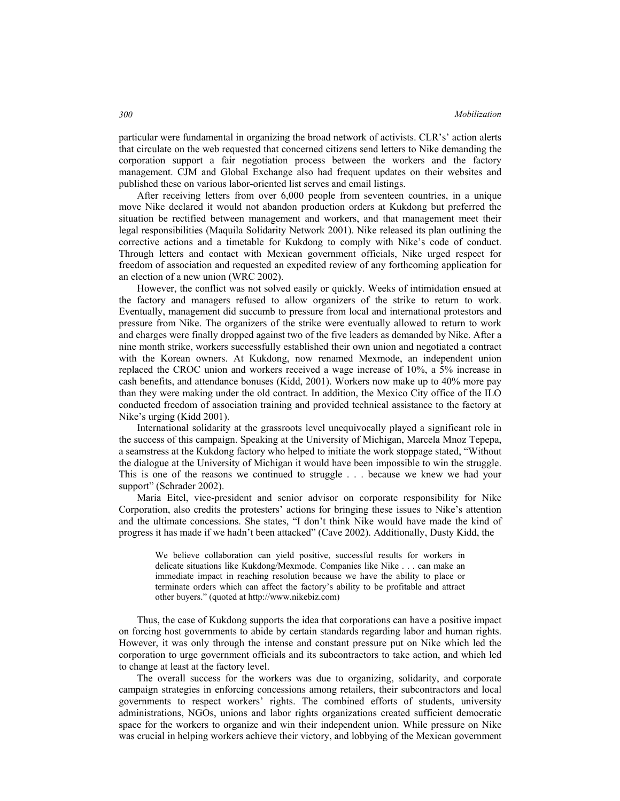particular were fundamental in organizing the broad network of activists. CLR's' action alerts that circulate on the web requested that concerned citizens send letters to Nike demanding the corporation support a fair negotiation process between the workers and the factory management. CJM and Global Exchange also had frequent updates on their websites and published these on various labor-oriented list serves and email listings.

After receiving letters from over 6,000 people from seventeen countries, in a unique move Nike declared it would not abandon production orders at Kukdong but preferred the situation be rectified between management and workers, and that management meet their legal responsibilities (Maquila Solidarity Network 2001). Nike released its plan outlining the corrective actions and a timetable for Kukdong to comply with Nike's code of conduct. Through letters and contact with Mexican government officials, Nike urged respect for freedom of association and requested an expedited review of any forthcoming application for an election of a new union (WRC 2002).

However, the conflict was not solved easily or quickly. Weeks of intimidation ensued at the factory and managers refused to allow organizers of the strike to return to work. Eventually, management did succumb to pressure from local and international protestors and pressure from Nike. The organizers of the strike were eventually allowed to return to work and charges were finally dropped against two of the five leaders as demanded by Nike. After a nine month strike, workers successfully established their own union and negotiated a contract with the Korean owners. At Kukdong, now renamed Mexmode, an independent union replaced the CROC union and workers received a wage increase of 10%, a 5% increase in cash benefits, and attendance bonuses (Kidd, 2001). Workers now make up to 40% more pay than they were making under the old contract. In addition, the Mexico City office of the ILO conducted freedom of association training and provided technical assistance to the factory at Nike's urging (Kidd 2001).

International solidarity at the grassroots level unequivocally played a significant role in the success of this campaign. Speaking at the University of Michigan, Marcela Mnoz Tepepa, a seamstress at the Kukdong factory who helped to initiate the work stoppage stated, "Without the dialogue at the University of Michigan it would have been impossible to win the struggle. This is one of the reasons we continued to struggle . . . because we knew we had your support" (Schrader 2002).

Maria Eitel, vice-president and senior advisor on corporate responsibility for Nike Corporation, also credits the protesters' actions for bringing these issues to Nike's attention and the ultimate concessions. She states, "I don't think Nike would have made the kind of progress it has made if we hadn't been attacked" (Cave 2002). Additionally, Dusty Kidd, the

We believe collaboration can yield positive, successful results for workers in delicate situations like Kukdong/Mexmode. Companies like Nike . . . can make an immediate impact in reaching resolution because we have the ability to place or terminate orders which can affect the factory's ability to be profitable and attract other buyers." (quoted at http://www.nikebiz.com)

Thus, the case of Kukdong supports the idea that corporations can have a positive impact on forcing host governments to abide by certain standards regarding labor and human rights. However, it was only through the intense and constant pressure put on Nike which led the corporation to urge government officials and its subcontractors to take action, and which led to change at least at the factory level.

The overall success for the workers was due to organizing, solidarity, and corporate campaign strategies in enforcing concessions among retailers, their subcontractors and local governments to respect workers' rights. The combined efforts of students, university administrations, NGOs, unions and labor rights organizations created sufficient democratic space for the workers to organize and win their independent union. While pressure on Nike was crucial in helping workers achieve their victory, and lobbying of the Mexican government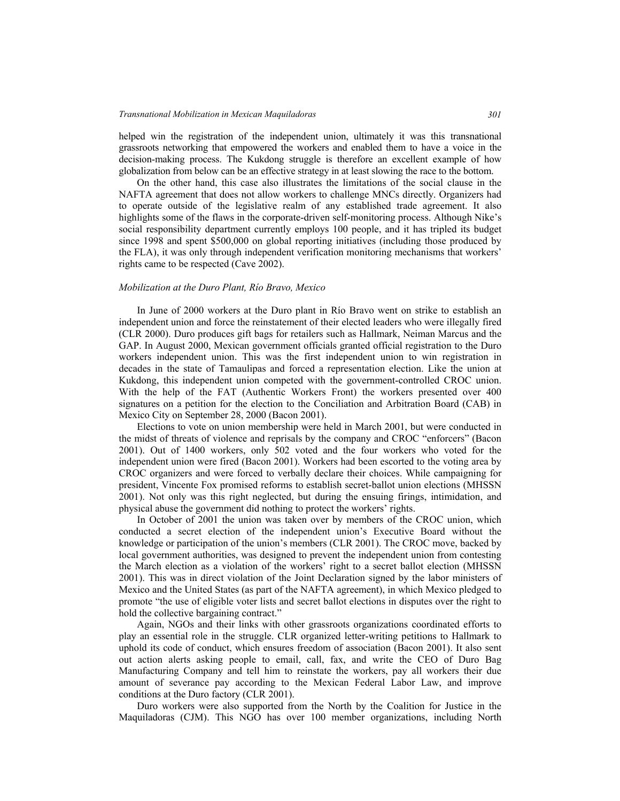#### *Transnational Mobilization in Mexican Maquiladoras 301*

helped win the registration of the independent union, ultimately it was this transnational grassroots networking that empowered the workers and enabled them to have a voice in the decision-making process. The Kukdong struggle is therefore an excellent example of how globalization from below can be an effective strategy in at least slowing the race to the bottom.

On the other hand, this case also illustrates the limitations of the social clause in the NAFTA agreement that does not allow workers to challenge MNCs directly. Organizers had to operate outside of the legislative realm of any established trade agreement. It also highlights some of the flaws in the corporate-driven self-monitoring process. Although Nike's social responsibility department currently employs 100 people, and it has tripled its budget since 1998 and spent \$500,000 on global reporting initiatives (including those produced by the FLA), it was only through independent verification monitoring mechanisms that workers' rights came to be respected (Cave 2002).

#### *Mobilization at the Duro Plant, Río Bravo, Mexico*

In June of 2000 workers at the Duro plant in Río Bravo went on strike to establish an independent union and force the reinstatement of their elected leaders who were illegally fired (CLR 2000). Duro produces gift bags for retailers such as Hallmark, Neiman Marcus and the GAP. In August 2000, Mexican government officials granted official registration to the Duro workers independent union. This was the first independent union to win registration in decades in the state of Tamaulipas and forced a representation election. Like the union at Kukdong, this independent union competed with the government-controlled CROC union. With the help of the FAT (Authentic Workers Front) the workers presented over 400 signatures on a petition for the election to the Conciliation and Arbitration Board (CAB) in Mexico City on September 28, 2000 (Bacon 2001).

Elections to vote on union membership were held in March 2001, but were conducted in the midst of threats of violence and reprisals by the company and CROC "enforcers" (Bacon 2001). Out of 1400 workers, only 502 voted and the four workers who voted for the independent union were fired (Bacon 2001). Workers had been escorted to the voting area by CROC organizers and were forced to verbally declare their choices. While campaigning for president, Vincente Fox promised reforms to establish secret-ballot union elections (MHSSN 2001). Not only was this right neglected, but during the ensuing firings, intimidation, and physical abuse the government did nothing to protect the workers' rights.

In October of 2001 the union was taken over by members of the CROC union, which conducted a secret election of the independent union's Executive Board without the knowledge or participation of the union's members (CLR 2001). The CROC move, backed by local government authorities, was designed to prevent the independent union from contesting the March election as a violation of the workers' right to a secret ballot election (MHSSN 2001). This was in direct violation of the Joint Declaration signed by the labor ministers of Mexico and the United States (as part of the NAFTA agreement), in which Mexico pledged to promote "the use of eligible voter lists and secret ballot elections in disputes over the right to hold the collective bargaining contract."

Again, NGOs and their links with other grassroots organizations coordinated efforts to play an essential role in the struggle. CLR organized letter-writing petitions to Hallmark to uphold its code of conduct, which ensures freedom of association (Bacon 2001). It also sent out action alerts asking people to email, call, fax, and write the CEO of Duro Bag Manufacturing Company and tell him to reinstate the workers, pay all workers their due amount of severance pay according to the Mexican Federal Labor Law, and improve conditions at the Duro factory (CLR 2001).

Duro workers were also supported from the North by the Coalition for Justice in the Maquiladoras (CJM). This NGO has over 100 member organizations, including North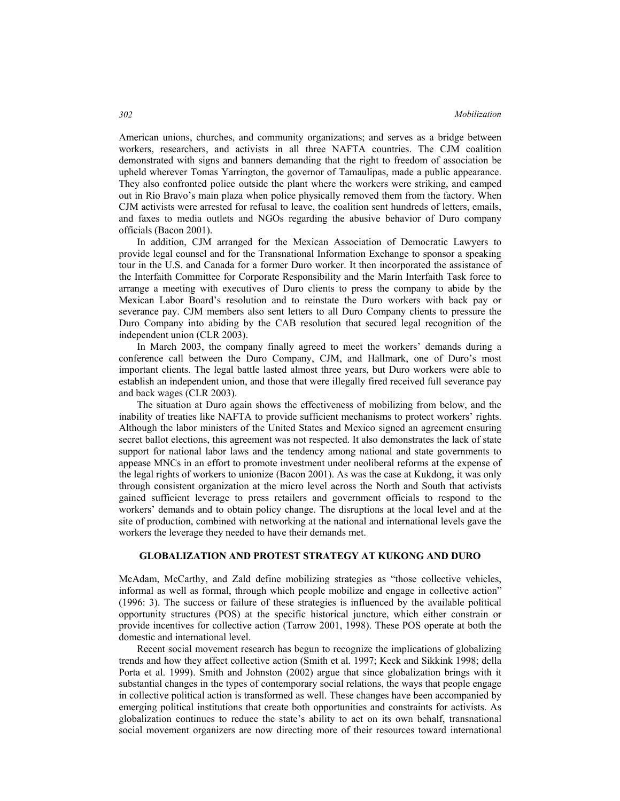American unions, churches, and community organizations; and serves as a bridge between workers, researchers, and activists in all three NAFTA countries. The CJM coalition demonstrated with signs and banners demanding that the right to freedom of association be upheld wherever Tomas Yarrington, the governor of Tamaulipas, made a public appearance. They also confronted police outside the plant where the workers were striking, and camped out in Río Bravo's main plaza when police physically removed them from the factory. When CJM activists were arrested for refusal to leave, the coalition sent hundreds of letters, emails, and faxes to media outlets and NGOs regarding the abusive behavior of Duro company officials (Bacon 2001).

In addition, CJM arranged for the Mexican Association of Democratic Lawyers to provide legal counsel and for the Transnational Information Exchange to sponsor a speaking tour in the U.S. and Canada for a former Duro worker. It then incorporated the assistance of the Interfaith Committee for Corporate Responsibility and the Marin Interfaith Task force to arrange a meeting with executives of Duro clients to press the company to abide by the Mexican Labor Board's resolution and to reinstate the Duro workers with back pay or severance pay. CJM members also sent letters to all Duro Company clients to pressure the Duro Company into abiding by the CAB resolution that secured legal recognition of the independent union (CLR 2003).

In March 2003, the company finally agreed to meet the workers' demands during a conference call between the Duro Company, CJM, and Hallmark, one of Duro's most important clients. The legal battle lasted almost three years, but Duro workers were able to establish an independent union, and those that were illegally fired received full severance pay and back wages (CLR 2003).

The situation at Duro again shows the effectiveness of mobilizing from below, and the inability of treaties like NAFTA to provide sufficient mechanisms to protect workers' rights. Although the labor ministers of the United States and Mexico signed an agreement ensuring secret ballot elections, this agreement was not respected. It also demonstrates the lack of state support for national labor laws and the tendency among national and state governments to appease MNCs in an effort to promote investment under neoliberal reforms at the expense of the legal rights of workers to unionize (Bacon 2001). As was the case at Kukdong, it was only through consistent organization at the micro level across the North and South that activists gained sufficient leverage to press retailers and government officials to respond to the workers' demands and to obtain policy change. The disruptions at the local level and at the site of production, combined with networking at the national and international levels gave the workers the leverage they needed to have their demands met.

#### **GLOBALIZATION AND PROTEST STRATEGY AT KUKONG AND DURO**

McAdam, McCarthy, and Zald define mobilizing strategies as "those collective vehicles, informal as well as formal, through which people mobilize and engage in collective action" (1996: 3). The success or failure of these strategies is influenced by the available political opportunity structures (POS) at the specific historical juncture, which either constrain or provide incentives for collective action (Tarrow 2001, 1998). These POS operate at both the domestic and international level.

Recent social movement research has begun to recognize the implications of globalizing trends and how they affect collective action (Smith et al. 1997; Keck and Sikkink 1998; della Porta et al. 1999). Smith and Johnston (2002) argue that since globalization brings with it substantial changes in the types of contemporary social relations, the ways that people engage in collective political action is transformed as well. These changes have been accompanied by emerging political institutions that create both opportunities and constraints for activists. As globalization continues to reduce the state's ability to act on its own behalf, transnational social movement organizers are now directing more of their resources toward international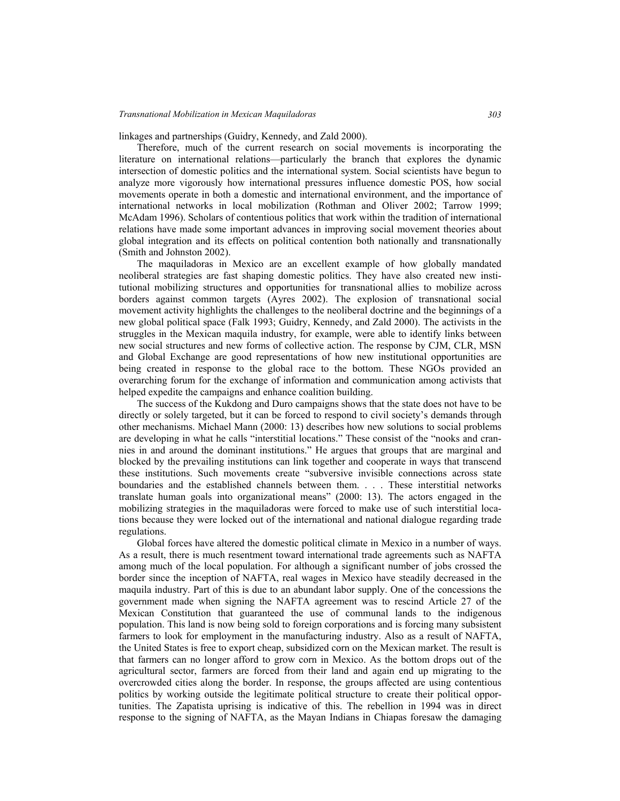linkages and partnerships (Guidry, Kennedy, and Zald 2000).

Therefore, much of the current research on social movements is incorporating the literature on international relations—particularly the branch that explores the dynamic intersection of domestic politics and the international system. Social scientists have begun to analyze more vigorously how international pressures influence domestic POS, how social movements operate in both a domestic and international environment, and the importance of international networks in local mobilization (Rothman and Oliver 2002; Tarrow 1999; McAdam 1996). Scholars of contentious politics that work within the tradition of international relations have made some important advances in improving social movement theories about global integration and its effects on political contention both nationally and transnationally (Smith and Johnston 2002).

The maquiladoras in Mexico are an excellent example of how globally mandated neoliberal strategies are fast shaping domestic politics. They have also created new institutional mobilizing structures and opportunities for transnational allies to mobilize across borders against common targets (Ayres 2002). The explosion of transnational social movement activity highlights the challenges to the neoliberal doctrine and the beginnings of a new global political space (Falk 1993; Guidry, Kennedy, and Zald 2000). The activists in the struggles in the Mexican maquila industry, for example, were able to identify links between new social structures and new forms of collective action. The response by CJM, CLR, MSN and Global Exchange are good representations of how new institutional opportunities are being created in response to the global race to the bottom. These NGOs provided an overarching forum for the exchange of information and communication among activists that helped expedite the campaigns and enhance coalition building.

The success of the Kukdong and Duro campaigns shows that the state does not have to be directly or solely targeted, but it can be forced to respond to civil society's demands through other mechanisms. Michael Mann (2000: 13) describes how new solutions to social problems are developing in what he calls "interstitial locations." These consist of the "nooks and crannies in and around the dominant institutions." He argues that groups that are marginal and blocked by the prevailing institutions can link together and cooperate in ways that transcend these institutions. Such movements create "subversive invisible connections across state boundaries and the established channels between them. . . . These interstitial networks translate human goals into organizational means" (2000: 13). The actors engaged in the mobilizing strategies in the maquiladoras were forced to make use of such interstitial locations because they were locked out of the international and national dialogue regarding trade regulations.

Global forces have altered the domestic political climate in Mexico in a number of ways. As a result, there is much resentment toward international trade agreements such as NAFTA among much of the local population. For although a significant number of jobs crossed the border since the inception of NAFTA, real wages in Mexico have steadily decreased in the maquila industry. Part of this is due to an abundant labor supply. One of the concessions the government made when signing the NAFTA agreement was to rescind Article 27 of the Mexican Constitution that guaranteed the use of communal lands to the indigenous population. This land is now being sold to foreign corporations and is forcing many subsistent farmers to look for employment in the manufacturing industry. Also as a result of NAFTA, the United States is free to export cheap, subsidized corn on the Mexican market. The result is that farmers can no longer afford to grow corn in Mexico. As the bottom drops out of the agricultural sector, farmers are forced from their land and again end up migrating to the overcrowded cities along the border. In response, the groups affected are using contentious politics by working outside the legitimate political structure to create their political opportunities. The Zapatista uprising is indicative of this. The rebellion in 1994 was in direct response to the signing of NAFTA, as the Mayan Indians in Chiapas foresaw the damaging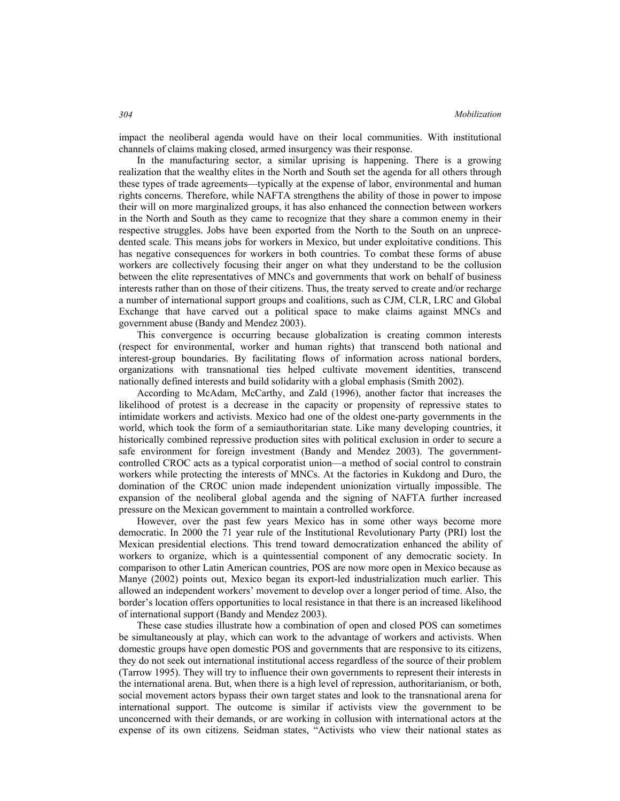impact the neoliberal agenda would have on their local communities. With institutional channels of claims making closed, armed insurgency was their response.

In the manufacturing sector, a similar uprising is happening. There is a growing realization that the wealthy elites in the North and South set the agenda for all others through these types of trade agreements—typically at the expense of labor, environmental and human rights concerns. Therefore, while NAFTA strengthens the ability of those in power to impose their will on more marginalized groups, it has also enhanced the connection between workers in the North and South as they came to recognize that they share a common enemy in their respective struggles. Jobs have been exported from the North to the South on an unprecedented scale. This means jobs for workers in Mexico, but under exploitative conditions. This has negative consequences for workers in both countries. To combat these forms of abuse workers are collectively focusing their anger on what they understand to be the collusion between the elite representatives of MNCs and governments that work on behalf of business interests rather than on those of their citizens. Thus, the treaty served to create and/or recharge a number of international support groups and coalitions, such as CJM, CLR, LRC and Global Exchange that have carved out a political space to make claims against MNCs and government abuse (Bandy and Mendez 2003).

This convergence is occurring because globalization is creating common interests (respect for environmental, worker and human rights) that transcend both national and interest-group boundaries. By facilitating flows of information across national borders, organizations with transnational ties helped cultivate movement identities, transcend nationally defined interests and build solidarity with a global emphasis (Smith 2002).

According to McAdam, McCarthy, and Zald (1996), another factor that increases the likelihood of protest is a decrease in the capacity or propensity of repressive states to intimidate workers and activists. Mexico had one of the oldest one-party governments in the world, which took the form of a semiauthoritarian state. Like many developing countries, it historically combined repressive production sites with political exclusion in order to secure a safe environment for foreign investment (Bandy and Mendez 2003). The governmentcontrolled CROC acts as a typical corporatist union—a method of social control to constrain workers while protecting the interests of MNCs. At the factories in Kukdong and Duro, the domination of the CROC union made independent unionization virtually impossible. The expansion of the neoliberal global agenda and the signing of NAFTA further increased pressure on the Mexican government to maintain a controlled workforce.

However, over the past few years Mexico has in some other ways become more democratic. In 2000 the 71 year rule of the Institutional Revolutionary Party (PRI) lost the Mexican presidential elections. This trend toward democratization enhanced the ability of workers to organize, which is a quintessential component of any democratic society. In comparison to other Latin American countries, POS are now more open in Mexico because as Manye (2002) points out, Mexico began its export-led industrialization much earlier. This allowed an independent workers' movement to develop over a longer period of time. Also, the border's location offers opportunities to local resistance in that there is an increased likelihood of international support (Bandy and Mendez 2003).

These case studies illustrate how a combination of open and closed POS can sometimes be simultaneously at play, which can work to the advantage of workers and activists. When domestic groups have open domestic POS and governments that are responsive to its citizens, they do not seek out international institutional access regardless of the source of their problem (Tarrow 1995). They will try to influence their own governments to represent their interests in the international arena. But, when there is a high level of repression, authoritarianism, or both, social movement actors bypass their own target states and look to the transnational arena for international support. The outcome is similar if activists view the government to be unconcerned with their demands, or are working in collusion with international actors at the expense of its own citizens. Seidman states, "Activists who view their national states as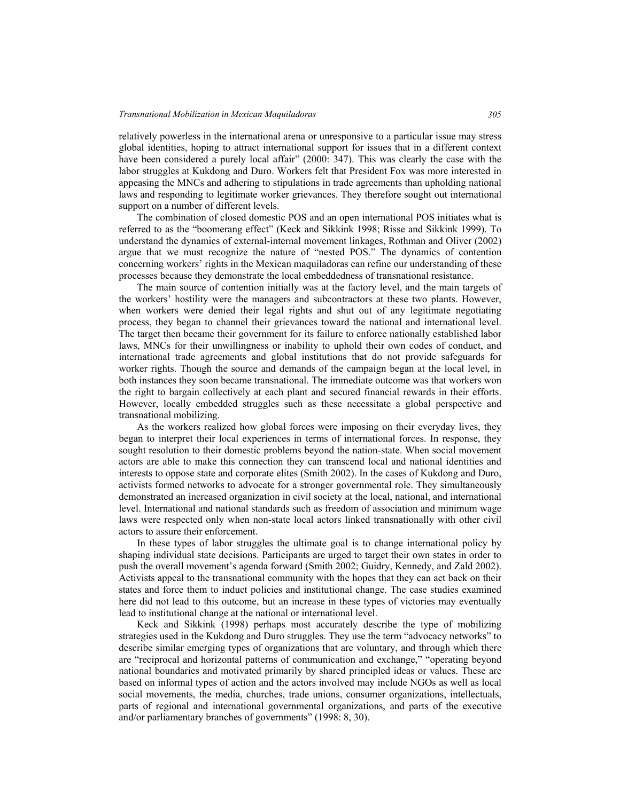#### *Transnational Mobilization in Mexican Maquiladoras 305*

relatively powerless in the international arena or unresponsive to a particular issue may stress global identities, hoping to attract international support for issues that in a different context have been considered a purely local affair" (2000: 347). This was clearly the case with the labor struggles at Kukdong and Duro. Workers felt that President Fox was more interested in appeasing the MNCs and adhering to stipulations in trade agreements than upholding national laws and responding to legitimate worker grievances. They therefore sought out international support on a number of different levels.

The combination of closed domestic POS and an open international POS initiates what is referred to as the "boomerang effect" (Keck and Sikkink 1998; Risse and Sikkink 1999). To understand the dynamics of external-internal movement linkages, Rothman and Oliver (2002) argue that we must recognize the nature of "nested POS." The dynamics of contention concerning workers' rights in the Mexican maquiladoras can refine our understanding of these processes because they demonstrate the local embeddedness of transnational resistance.

The main source of contention initially was at the factory level, and the main targets of the workers' hostility were the managers and subcontractors at these two plants. However, when workers were denied their legal rights and shut out of any legitimate negotiating process, they began to channel their grievances toward the national and international level. The target then became their government for its failure to enforce nationally established labor laws, MNCs for their unwillingness or inability to uphold their own codes of conduct, and international trade agreements and global institutions that do not provide safeguards for worker rights. Though the source and demands of the campaign began at the local level, in both instances they soon became transnational. The immediate outcome was that workers won the right to bargain collectively at each plant and secured financial rewards in their efforts. However, locally embedded struggles such as these necessitate a global perspective and transnational mobilizing.

As the workers realized how global forces were imposing on their everyday lives, they began to interpret their local experiences in terms of international forces. In response, they sought resolution to their domestic problems beyond the nation-state. When social movement actors are able to make this connection they can transcend local and national identities and interests to oppose state and corporate elites (Smith 2002). In the cases of Kukdong and Duro, activists formed networks to advocate for a stronger governmental role. They simultaneously demonstrated an increased organization in civil society at the local, national, and international level. International and national standards such as freedom of association and minimum wage laws were respected only when non-state local actors linked transnationally with other civil actors to assure their enforcement.

In these types of labor struggles the ultimate goal is to change international policy by shaping individual state decisions. Participants are urged to target their own states in order to push the overall movement's agenda forward (Smith 2002; Guidry, Kennedy, and Zald 2002). Activists appeal to the transnational community with the hopes that they can act back on their states and force them to induct policies and institutional change. The case studies examined here did not lead to this outcome, but an increase in these types of victories may eventually lead to institutional change at the national or international level.

Keck and Sikkink (1998) perhaps most accurately describe the type of mobilizing strategies used in the Kukdong and Duro struggles. They use the term "advocacy networks" to describe similar emerging types of organizations that are voluntary, and through which there are "reciprocal and horizontal patterns of communication and exchange," "operating beyond national boundaries and motivated primarily by shared principled ideas or values. These are based on informal types of action and the actors involved may include NGOs as well as local social movements, the media, churches, trade unions, consumer organizations, intellectuals, parts of regional and international governmental organizations, and parts of the executive and/or parliamentary branches of governments" (1998: 8, 30).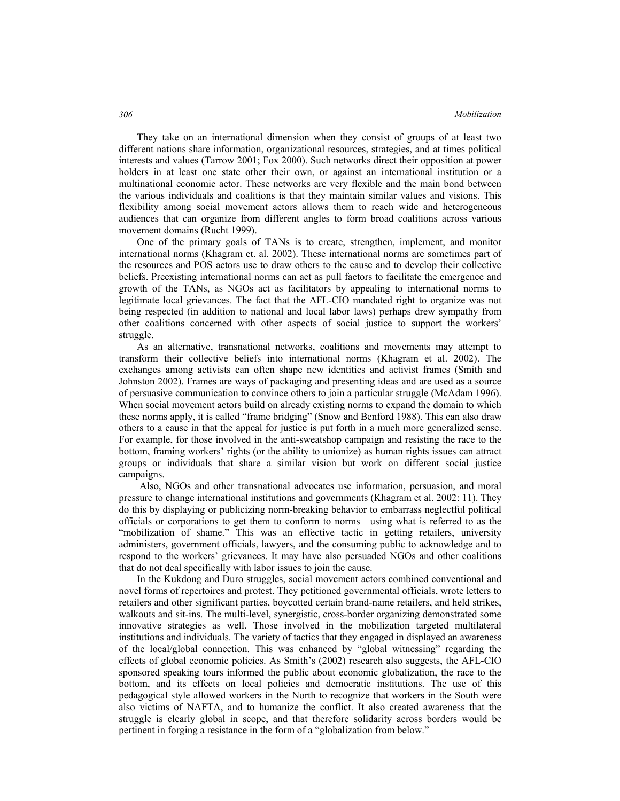#### *Mobilization*

They take on an international dimension when they consist of groups of at least two different nations share information, organizational resources, strategies, and at times political interests and values (Tarrow 2001; Fox 2000). Such networks direct their opposition at power holders in at least one state other their own, or against an international institution or a multinational economic actor. These networks are very flexible and the main bond between the various individuals and coalitions is that they maintain similar values and visions. This flexibility among social movement actors allows them to reach wide and heterogeneous audiences that can organize from different angles to form broad coalitions across various movement domains (Rucht 1999).

One of the primary goals of TANs is to create, strengthen, implement, and monitor international norms (Khagram et. al. 2002). These international norms are sometimes part of the resources and POS actors use to draw others to the cause and to develop their collective beliefs. Preexisting international norms can act as pull factors to facilitate the emergence and growth of the TANs, as NGOs act as facilitators by appealing to international norms to legitimate local grievances. The fact that the AFL-CIO mandated right to organize was not being respected (in addition to national and local labor laws) perhaps drew sympathy from other coalitions concerned with other aspects of social justice to support the workers' struggle.

As an alternative, transnational networks, coalitions and movements may attempt to transform their collective beliefs into international norms (Khagram et al. 2002). The exchanges among activists can often shape new identities and activist frames (Smith and Johnston 2002). Frames are ways of packaging and presenting ideas and are used as a source of persuasive communication to convince others to join a particular struggle (McAdam 1996). When social movement actors build on already existing norms to expand the domain to which these norms apply, it is called "frame bridging" (Snow and Benford 1988). This can also draw others to a cause in that the appeal for justice is put forth in a much more generalized sense. For example, for those involved in the anti-sweatshop campaign and resisting the race to the bottom, framing workers' rights (or the ability to unionize) as human rights issues can attract groups or individuals that share a similar vision but work on different social justice campaigns.

 Also, NGOs and other transnational advocates use information, persuasion, and moral pressure to change international institutions and governments (Khagram et al. 2002: 11). They do this by displaying or publicizing norm-breaking behavior to embarrass neglectful political officials or corporations to get them to conform to norms—using what is referred to as the "mobilization of shame." This was an effective tactic in getting retailers, university administers, government officials, lawyers, and the consuming public to acknowledge and to respond to the workers' grievances. It may have also persuaded NGOs and other coalitions that do not deal specifically with labor issues to join the cause.

In the Kukdong and Duro struggles, social movement actors combined conventional and novel forms of repertoires and protest. They petitioned governmental officials, wrote letters to retailers and other significant parties, boycotted certain brand-name retailers, and held strikes, walkouts and sit-ins. The multi-level, synergistic, cross-border organizing demonstrated some innovative strategies as well. Those involved in the mobilization targeted multilateral institutions and individuals. The variety of tactics that they engaged in displayed an awareness of the local/global connection. This was enhanced by "global witnessing" regarding the effects of global economic policies. As Smith's (2002) research also suggests, the AFL-CIO sponsored speaking tours informed the public about economic globalization, the race to the bottom, and its effects on local policies and democratic institutions. The use of this pedagogical style allowed workers in the North to recognize that workers in the South were also victims of NAFTA, and to humanize the conflict. It also created awareness that the struggle is clearly global in scope, and that therefore solidarity across borders would be pertinent in forging a resistance in the form of a "globalization from below."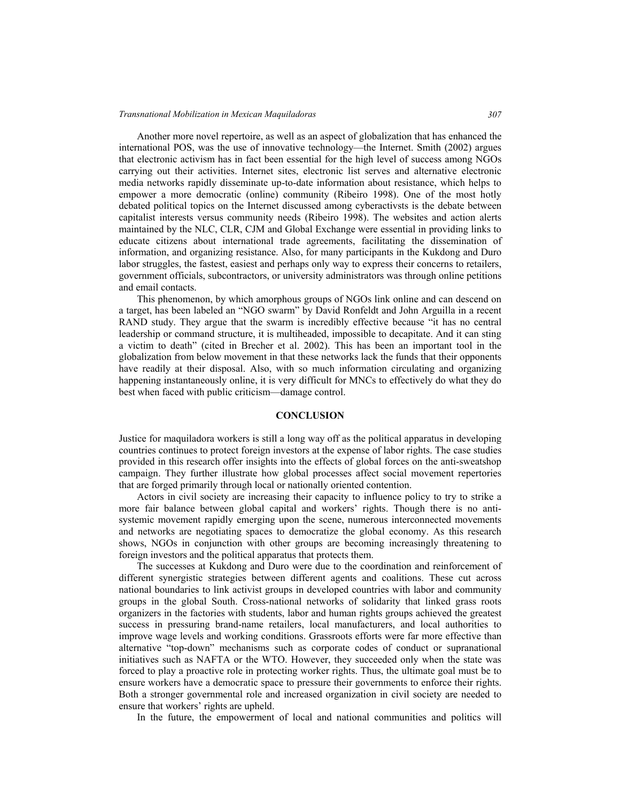#### *Transnational Mobilization in Mexican Maquiladoras 307*

Another more novel repertoire, as well as an aspect of globalization that has enhanced the international POS, was the use of innovative technology—the Internet. Smith (2002) argues that electronic activism has in fact been essential for the high level of success among NGOs carrying out their activities. Internet sites, electronic list serves and alternative electronic media networks rapidly disseminate up-to-date information about resistance, which helps to empower a more democratic (online) community (Ribeiro 1998). One of the most hotly debated political topics on the Internet discussed among cyberactivsts is the debate between capitalist interests versus community needs (Ribeiro 1998). The websites and action alerts maintained by the NLC, CLR, CJM and Global Exchange were essential in providing links to educate citizens about international trade agreements, facilitating the dissemination of information, and organizing resistance. Also, for many participants in the Kukdong and Duro labor struggles, the fastest, easiest and perhaps only way to express their concerns to retailers, government officials, subcontractors, or university administrators was through online petitions and email contacts.

This phenomenon, by which amorphous groups of NGOs link online and can descend on a target, has been labeled an "NGO swarm" by David Ronfeldt and John Arguilla in a recent RAND study. They argue that the swarm is incredibly effective because "it has no central leadership or command structure, it is multiheaded, impossible to decapitate. And it can sting a victim to death" (cited in Brecher et al. 2002). This has been an important tool in the globalization from below movement in that these networks lack the funds that their opponents have readily at their disposal. Also, with so much information circulating and organizing happening instantaneously online, it is very difficult for MNCs to effectively do what they do best when faced with public criticism—damage control.

#### **CONCLUSION**

Justice for maquiladora workers is still a long way off as the political apparatus in developing countries continues to protect foreign investors at the expense of labor rights. The case studies provided in this research offer insights into the effects of global forces on the anti-sweatshop campaign. They further illustrate how global processes affect social movement repertories that are forged primarily through local or nationally oriented contention.

Actors in civil society are increasing their capacity to influence policy to try to strike a more fair balance between global capital and workers' rights. Though there is no antisystemic movement rapidly emerging upon the scene, numerous interconnected movements and networks are negotiating spaces to democratize the global economy. As this research shows, NGOs in conjunction with other groups are becoming increasingly threatening to foreign investors and the political apparatus that protects them.

The successes at Kukdong and Duro were due to the coordination and reinforcement of different synergistic strategies between different agents and coalitions. These cut across national boundaries to link activist groups in developed countries with labor and community groups in the global South. Cross-national networks of solidarity that linked grass roots organizers in the factories with students, labor and human rights groups achieved the greatest success in pressuring brand-name retailers, local manufacturers, and local authorities to improve wage levels and working conditions. Grassroots efforts were far more effective than alternative "top-down" mechanisms such as corporate codes of conduct or supranational initiatives such as NAFTA or the WTO. However, they succeeded only when the state was forced to play a proactive role in protecting worker rights. Thus, the ultimate goal must be to ensure workers have a democratic space to pressure their governments to enforce their rights. Both a stronger governmental role and increased organization in civil society are needed to ensure that workers' rights are upheld.

In the future, the empowerment of local and national communities and politics will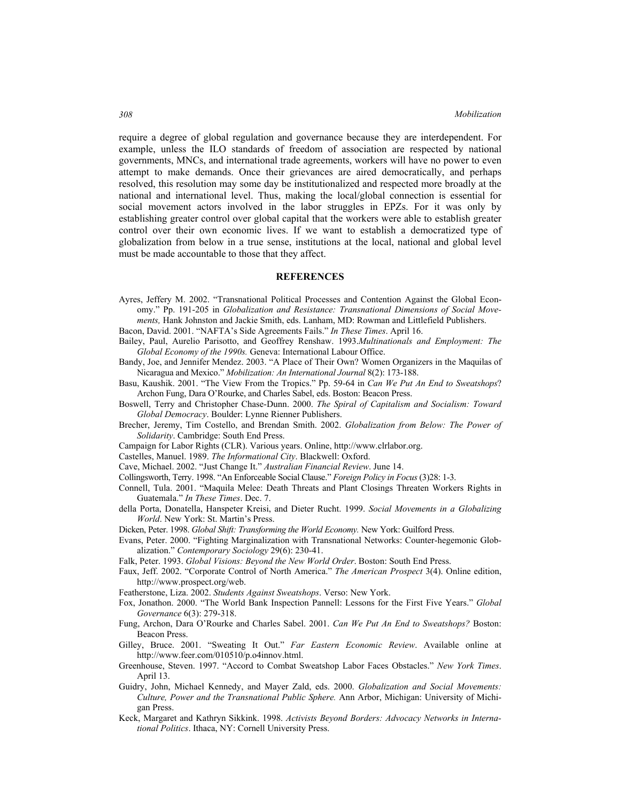require a degree of global regulation and governance because they are interdependent. For example, unless the ILO standards of freedom of association are respected by national governments, MNCs, and international trade agreements, workers will have no power to even attempt to make demands. Once their grievances are aired democratically, and perhaps resolved, this resolution may some day be institutionalized and respected more broadly at the national and international level. Thus, making the local/global connection is essential for social movement actors involved in the labor struggles in EPZs. For it was only by establishing greater control over global capital that the workers were able to establish greater control over their own economic lives. If we want to establish a democratized type of globalization from below in a true sense, institutions at the local, national and global level must be made accountable to those that they affect.

#### **REFERENCES**

Ayres, Jeffery M. 2002. "Transnational Political Processes and Contention Against the Global Economy." Pp. 191-205 in *Globalization and Resistance: Transnational Dimensions of Social Movements,* Hank Johnston and Jackie Smith, eds. Lanham, MD: Rowman and Littlefield Publishers.

Bacon, David. 2001. "NAFTA's Side Agreements Fails." *In These Times*. April 16.

Bailey, Paul, Aurelio Parisotto, and Geoffrey Renshaw. 1993.*Multinationals and Employment: The Global Economy of the 1990s.* Geneva: International Labour Office.

- Bandy, Joe, and Jennifer Mendez. 2003. "A Place of Their Own? Women Organizers in the Maquilas of Nicaragua and Mexico." *Mobilization: An International Journal* 8(2): 173-188.
- Basu, Kaushik. 2001. "The View From the Tropics." Pp. 59-64 in *Can We Put An End to Sweatshops*? Archon Fung, Dara O'Rourke, and Charles Sabel, eds. Boston: Beacon Press.
- Boswell, Terry and Christopher Chase-Dunn. 2000. *The Spiral of Capitalism and Socialism: Toward Global Democracy*. Boulder: Lynne Rienner Publishers.
- Brecher, Jeremy, Tim Costello, and Brendan Smith. 2002. *Globalization from Below: The Power of Solidarity*. Cambridge: South End Press.
- Campaign for Labor Rights (CLR). Various years. Online, http://www.clrlabor.org.
- Castelles, Manuel. 1989. *The Informational City*. Blackwell: Oxford.
- Cave, Michael. 2002. "Just Change It." *Australian Financial Review*. June 14.
- Collingsworth, Terry. 1998. "An Enforceable Social Clause." *Foreign Policy in Focus* (3)28: 1-3.
- Connell, Tula. 2001. "Maquila Melee: Death Threats and Plant Closings Threaten Workers Rights in Guatemala." *In These Times*. Dec. 7.
- della Porta, Donatella, Hanspeter Kreisi, and Dieter Rucht. 1999. *Social Movements in a Globalizing World*. New York: St. Martin's Press.
- Dicken, Peter. 1998. *Global Shift: Transforming the World Economy.* New York: Guilford Press.
- Evans, Peter. 2000. "Fighting Marginalization with Transnational Networks: Counter-hegemonic Globalization." *Contemporary Sociology* 29(6): 230-41.

Falk, Peter. 1993. *Global Visions: Beyond the New World Order*. Boston: South End Press.

- Faux, Jeff. 2002. "Corporate Control of North America." *The American Prospect* 3(4). Online edition, http://www.prospect.org/web.
- Featherstone, Liza. 2002. *Students Against Sweatshops*. Verso: New York.
- Fox, Jonathon. 2000. "The World Bank Inspection Pannell: Lessons for the First Five Years." *Global Governance* 6(3): 279-318.
- Fung, Archon, Dara O'Rourke and Charles Sabel. 2001. *Can We Put An End to Sweatshops?* Boston: Beacon Press.
- Gilley, Bruce. 2001. "Sweating It Out." *Far Eastern Economic Review*. Available online at http://www.feer.com/010510/p.o4innov.html.
- Greenhouse, Steven. 1997. "Accord to Combat Sweatshop Labor Faces Obstacles." *New York Times*. April 13.
- Guidry, John, Michael Kennedy, and Mayer Zald, eds. 2000. *Globalization and Social Movements: Culture, Power and the Transnational Public Sphere.* Ann Arbor, Michigan: University of Michigan Press.
- Keck, Margaret and Kathryn Sikkink. 1998. *Activists Beyond Borders: Advocacy Networks in International Politics*. Ithaca, NY: Cornell University Press.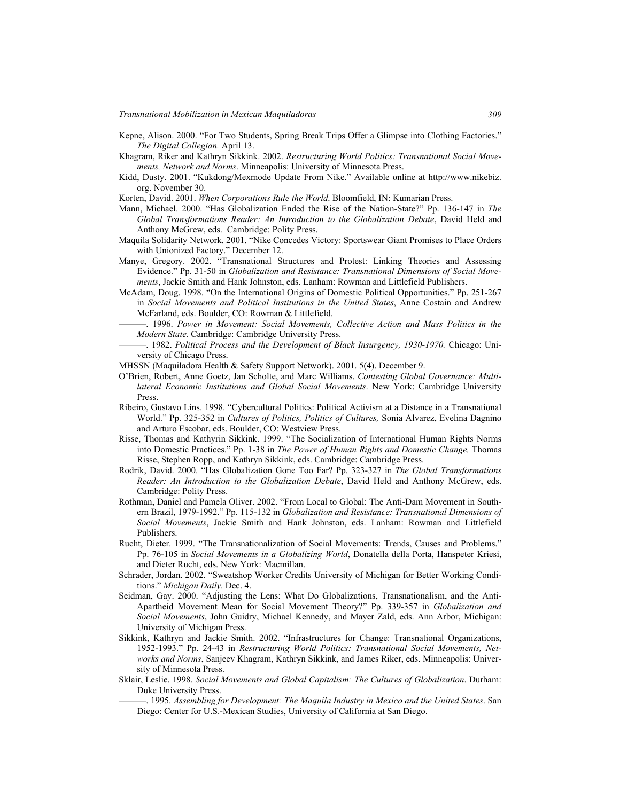- Kepne, Alison. 2000. "For Two Students, Spring Break Trips Offer a Glimpse into Clothing Factories." *The Digital Collegian.* April 13.
- Khagram, Riker and Kathryn Sikkink. 2002. *Restructuring World Politics: Transnational Social Movements, Network and Norms*. Minneapolis: University of Minnesota Press.
- Kidd, Dusty. 2001. "Kukdong/Mexmode Update From Nike." Available online at http://www.nikebiz. org. November 30.
- Korten, David. 2001. *When Corporations Rule the World*. Bloomfield, IN: Kumarian Press.
- Mann, Michael. 2000. "Has Globalization Ended the Rise of the Nation-State?" Pp. 136-147 in *The Global Transformations Reader: An Introduction to the Globalization Debate*, David Held and Anthony McGrew, eds. Cambridge: Polity Press.
- Maquila Solidarity Network. 2001. "Nike Concedes Victory: Sportswear Giant Promises to Place Orders with Unionized Factory." December 12.
- Manye, Gregory. 2002. "Transnational Structures and Protest: Linking Theories and Assessing Evidence." Pp. 31-50 in *Globalization and Resistance: Transnational Dimensions of Social Movements*, Jackie Smith and Hank Johnston, eds. Lanham: Rowman and Littlefield Publishers.
- McAdam, Doug. 1998. "On the International Origins of Domestic Political Opportunities." Pp. 251-267 in *Social Movements and Political Institutions in the United States*, Anne Costain and Andrew McFarland, eds. Boulder, CO: Rowman & Littlefield.
	- ———. 1996. *Power in Movement: Social Movements, Collective Action and Mass Politics in the Modern State.* Cambridge: Cambridge University Press.
- ———. 1982. *Political Process and the Development of Black Insurgency, 1930-1970.* Chicago: University of Chicago Press.
- MHSSN (Maquiladora Health & Safety Support Network). 2001. 5(4). December 9.
- O'Brien, Robert, Anne Goetz, Jan Scholte, and Marc Williams. *Contesting Global Governance: Multilateral Economic Institutions and Global Social Movements*. New York: Cambridge University Press.
- Ribeiro, Gustavo Lins. 1998. "Cybercultural Politics: Political Activism at a Distance in a Transnational World." Pp. 325-352 in *Cultures of Politics, Politics of Cultures,* Sonia Alvarez, Evelina Dagnino and Arturo Escobar, eds. Boulder, CO: Westview Press.
- Risse, Thomas and Kathyrin Sikkink. 1999. "The Socialization of International Human Rights Norms into Domestic Practices." Pp. 1-38 in *The Power of Human Rights and Domestic Change,* Thomas Risse, Stephen Ropp, and Kathryn Sikkink, eds. Cambridge: Cambridge Press.
- Rodrik, David. 2000. "Has Globalization Gone Too Far? Pp. 323-327 in *The Global Transformations Reader: An Introduction to the Globalization Debate*, David Held and Anthony McGrew, eds. Cambridge: Polity Press.
- Rothman, Daniel and Pamela Oliver. 2002. "From Local to Global: The Anti-Dam Movement in Southern Brazil, 1979-1992." Pp. 115-132 in *Globalization and Resistance: Transnational Dimensions of Social Movements*, Jackie Smith and Hank Johnston, eds. Lanham: Rowman and Littlefield Publishers.
- Rucht, Dieter. 1999. "The Transnationalization of Social Movements: Trends, Causes and Problems." Pp. 76-105 in *Social Movements in a Globalizing World*, Donatella della Porta, Hanspeter Kriesi, and Dieter Rucht, eds. New York: Macmillan.
- Schrader, Jordan. 2002. "Sweatshop Worker Credits University of Michigan for Better Working Conditions." *Michigan Daily*. Dec. 4.
- Seidman, Gay. 2000. "Adjusting the Lens: What Do Globalizations, Transnationalism, and the Anti-Apartheid Movement Mean for Social Movement Theory?" Pp. 339-357 in *Globalization and Social Movements*, John Guidry, Michael Kennedy, and Mayer Zald, eds. Ann Arbor, Michigan: University of Michigan Press.
- Sikkink, Kathryn and Jackie Smith. 2002. "Infrastructures for Change: Transnational Organizations, 1952-1993." Pp. 24-43 in *Restructuring World Politics: Transnational Social Movements, Networks and Norms*, Sanjeev Khagram, Kathryn Sikkink, and James Riker, eds. Minneapolis: University of Minnesota Press.
- Sklair, Leslie. 1998. *Social Movements and Global Capitalism: The Cultures of Globalization*. Durham: Duke University Press.
	- ———. 1995. *Assembling for Development: The Maquila Industry in Mexico and the United States*. San Diego: Center for U.S.-Mexican Studies, University of California at San Diego.